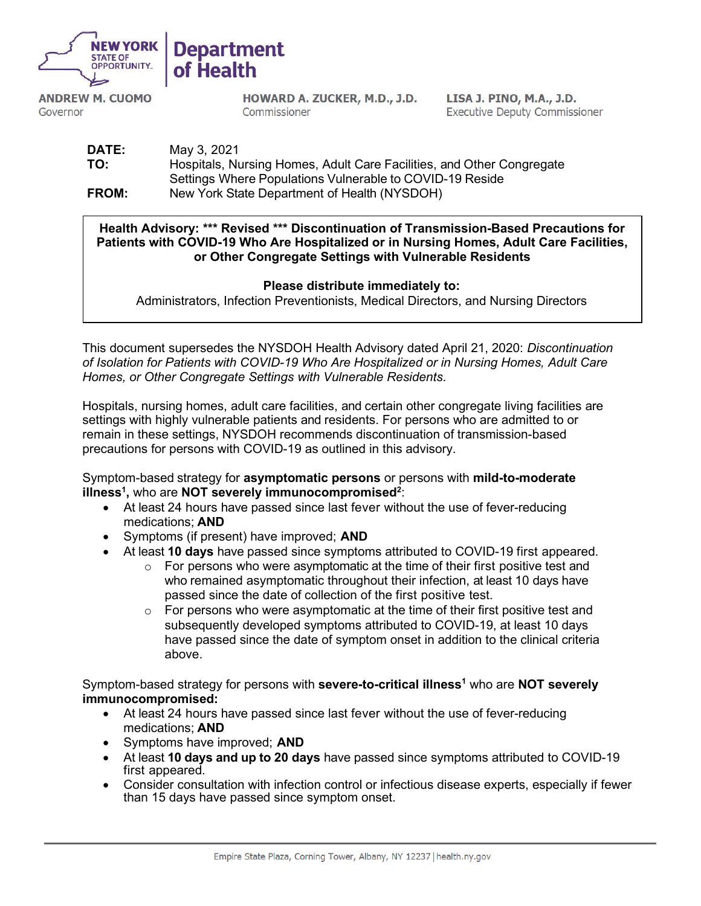



**ANDREW M. CUOMO** Governor

HOWARD A. ZUCKER, M.D., J.D. Commissioner

LISA J. PINO, M.A., J.D. **Executive Deputy Commissioner** 

**DATE:** May 3, 2021 **TO:** Hospitals, Nursing Homes, Adult Care Facilities, and Other Congregate Settings Where Populations Vulnerable to COVID-19 Reside **FROM:** New York State Department of Health (NYSDOH)

**Health Advisory: \*\*\* Revised \*\*\* Discontinuation of Transmission-Based Precautions for Patients with COVID-19 Who Are Hospitalized or in Nursing Homes, Adult Care Facilities, or Other Congregate Settings with Vulnerable Residents**

## **Please distribute immediately to:**

Administrators, Infection Preventionists, Medical Directors, and Nursing Directors

This document supersedes the NYSDOH Health Advisory dated April 21, 2020: *Discontinuation of Isolation for Patients with COVID-19 Who Are Hospitalized or in Nursing Homes, Adult Care Homes, or Other Congregate Settings with Vulnerable Residents.* 

Hospitals, nursing homes, adult care facilities, and certain other congregate living facilities are settings with highly vulnerable patients and residents. For persons who are admitted to or remain in these settings, NYSDOH recommends discontinuation of transmission-based precautions for persons with COVID-19 as outlined in this advisory.

Symptom-based strategy for **asymptomatic persons** or persons with **mild-to-moderate illness<sup>1</sup>, who are NOT severely immunocompromised<sup>2</sup>:** 

- At least 24 hours have passed since last fever without the use of fever-reducing medications; **AND**
- Symptoms (if present) have improved; **AND**
- At least **10 days** have passed since symptoms attributed to COVID-19 first appeared.
	- $\circ$  For persons who were asymptomatic at the time of their first positive test and who remained asymptomatic throughout their infection, at least 10 days have passed since the date of collection of the first positive test.
	- $\circ$  For persons who were asymptomatic at the time of their first positive test and subsequently developed symptoms attributed to COVID-19, at least 10 days have passed since the date of symptom onset in addition to the clinical criteria above.

Symptom-based strategy for persons with **severe-to-critical illness<sup>1</sup> who are NOT severely immunocompromised:**

- At least 24 hours have passed since last fever without the use of fever-reducing medications; **AND**
- Symptoms have improved; **AND**
- At least **10 days and up to 20 days** have passed since symptoms attributed to COVID-19 first appeared.
- Consider consultation with infection control or infectious disease experts, especially if fewer than 15 days have passed since symptom onset.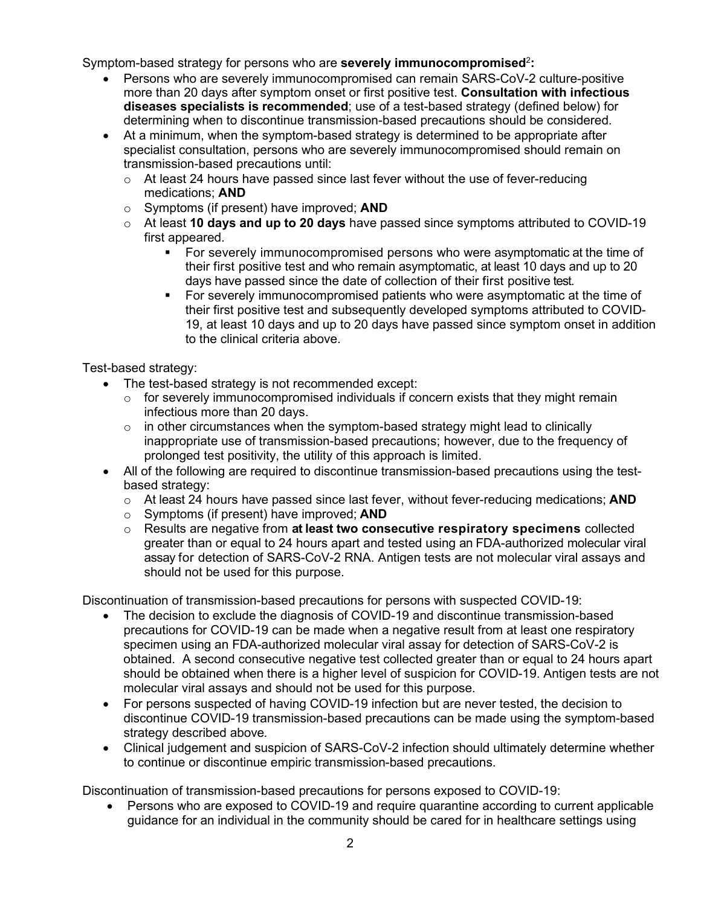Symptom-based strategy for persons who are **severely immunocompromised**<sup>2</sup>**:** 

- Persons who are severely immunocompromised can remain SARS-CoV-2 culture-positive more than 20 days after symptom onset or first positive test. **Consultation with infectious diseases specialists is recommended**; use of a test-based strategy (defined below) for determining when to discontinue transmission-based precautions should be considered.
- At a minimum, when the symptom-based strategy is determined to be appropriate after specialist consultation, persons who are severely immunocompromised should remain on transmission-based precautions until:
	- $\circ$  At least 24 hours have passed since last fever without the use of fever-reducing medications; **AND**
	- o Symptoms (if present) have improved; **AND**
	- o At least **10 days and up to 20 days** have passed since symptoms attributed to COVID-19 first appeared.
		- For severely immunocompromised persons who were asymptomatic at the time of their first positive test and who remain asymptomatic, at least 10 days and up to 20 days have passed since the date of collection of their first positive test.
		- For severely immunocompromised patients who were asymptomatic at the time of their first positive test and subsequently developed symptoms attributed to COVID-19, at least 10 days and up to 20 days have passed since symptom onset in addition to the clinical criteria above.

Test-based strategy:

- The test-based strategy is not recommended except:
	- $\circ$  for severely immunocompromised individuals if concern exists that they might remain infectious more than 20 days.
	- $\circ$  in other circumstances when the symptom-based strategy might lead to clinically inappropriate use of transmission-based precautions; however, due to the frequency of prolonged test positivity, the utility of this approach is limited.
- All of the following are required to discontinue transmission-based precautions using the testbased strategy:
	- o At least 24 hours have passed since last fever, without fever-reducing medications; **AND**
	- o Symptoms (if present) have improved; **AND**
	- o Results are negative from **at least two consecutive respiratory specimens** collected greater than or equal to 24 hours apart and tested using an FDA-authorized molecular viral assay for detection of SARS-CoV-2 RNA. Antigen tests are not molecular viral assays and should not be used for this purpose.

Discontinuation of transmission-based precautions for persons with suspected COVID-19:

- The decision to exclude the diagnosis of COVID-19 and discontinue transmission-based precautions for COVID-19 can be made when a negative result from at least one respiratory specimen using an FDA-authorized molecular viral assay for detection of SARS-CoV-2 is obtained. A second consecutive negative test collected greater than or equal to 24 hours apart should be obtained when there is a higher level of suspicion for COVID-19. Antigen tests are not molecular viral assays and should not be used for this purpose.
- For persons suspected of having COVID-19 infection but are never tested, the decision to discontinue COVID-19 transmission-based precautions can be made using the symptom-based strategy described above*.*
- Clinical judgement and suspicion of SARS-CoV-2 infection should ultimately determine whether to continue or discontinue empiric transmission-based precautions.

Discontinuation of transmission-based precautions for persons exposed to COVID-19:

• Persons who are exposed to COVID-19 and require quarantine according to current applicable guidance for an individual in the community should be cared for in healthcare settings using